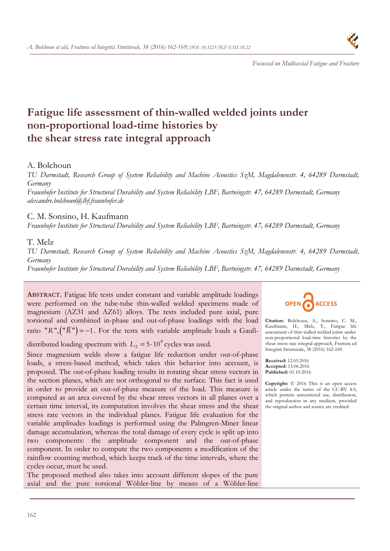

# **Fatigue life assessment of thin-walled welded joints under non-proportional load-time histories by the shear stress rate integral approach**

# A. Bolchoun

*TU Darmstadt, Research Group of System Reliability and Machine Acoustics SzM, Magdalenenstr. 4, 64289 Darmstadt, Germany* 

*Fraunhofer Institute for Structural Durability and System Reliability LBF, Bartningstr. 47, 64289 Darmstadt, Germany alexandre.bolchoun@lbf.fraunhofer.de* 

# C. M. Sonsino, H. Kaufmann

*Fraunhofer Institute for Structural Durability and System Reliability LBF, Bartningstr. 47, 64289 Darmstadt, Germany* 

# T. Melz

*TU Darmstadt, Research Group of System Reliability and Machine Acoustics SzM, Magdalenenstr. 4, 64289 Darmstadt, Germany* 

*Fraunhofer Institute for Structural Durability and System Reliability LBF, Bartningstr. 47, 64289 Darmstadt, Germany* 

**ABSTRACT.** Fatigue life tests under constant and variable amplitude loadings were performed on the tube-tube thin-walled welded specimens made of magnesium (AZ31 and AZ61) alloys. The tests included pure axial, pure torsional and combined in-phase and out-of-phase loadings with the load ratio " $R''$ ,  $("R") = -1$ . For the tests with variable amplitude loads a Gauß-

distributed loading spectrum with  $L<sub>S</sub> = 5 \cdot 10<sup>4</sup>$  cycles was used.

Since magnesium welds show a fatigue life reduction under out-of-phase loads, a stress-based method, which takes this behavior into account, is proposed. The out-of-phase loading results in rotating shear stress vectors in the section planes, which are not orthogonal to the surface. This fact is used in order to provide an out-of-phase measure of the load. This measure is computed as an area covered by the shear stress vectors in all planes over a certain time interval, its computation involves the shear stress and the shear stress rate vectors in the individual planes. Fatigue life evaluation for the variable amplitudes loadings is performed using the Palmgren-Miner linear damage accumulation, whereas the total damage of every cycle is split up into two components: the amplitude component and the out-of-phase component. In order to compute the two components a modification of the rainflow counting method, which keeps track of the time intervals, where the cycles occur, must be used.

The proposed method also takes into account different slopes of the pure axial and the pure torsional Wöhler-line by means of a Wöhler-line



**Citation:** Bolchoun, A., Sonsino, C. M., Kaufmann, H., Melz, T., Fatigue life assessment of thin-walled welded joints under non-proportional load-time histories by the shear stress rate integral approach, Frattura ed Integrità Strutturale, 38 (2016) 162-169.

**Received:** 12.05.2016 **Accepted:** 15.06.2016 **Published:** 01.10.2016

**Copyright:** © 2016 This is an open access article under the terms of the CC-BY 4.0, which permits unrestricted use, distribution, and reproduction in any medium, provided the original author and source are credited.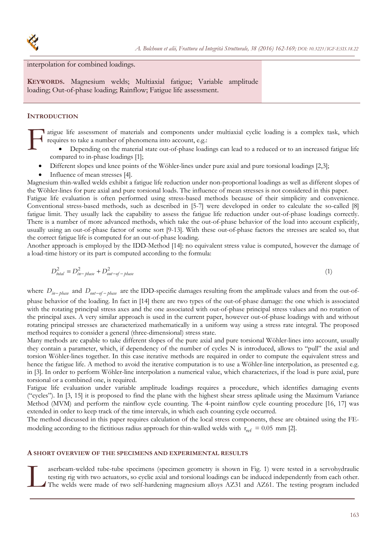

interpolation for combined loadings.

**KEYWORDS.** Magnesium welds; Multiaxial fatigue; Variable amplitude loading; Out-of-phase loading; Rainflow; Fatigue life assessment.

## **INTRODUCTION**

I atigue life assessment of materials and components under multiaxial cyclic loading is a complex task, which requires to take a number of phenomena into account, e.g.:  $\mathbf{F}^{\text{at}}_{\text{re}}$ 

- Depending on the material state out-of-phase loadings can lead to a reduced or to an increased fatigue life compared to in-phase loadings [1];
- Different slopes und knee points of the Wöhler-lines under pure axial and pure torsional loadings [2,3];
- Influence of mean stresses [4].

Magnesium thin-walled welds exhibit a fatigue life reduction under non-proportional loadings as well as different slopes of the Wöhler-lines for pure axial and pure torsional loads. The influence of mean stresses is not considered in this paper.

Fatigue life evaluation is often performed using stress-based methods because of their simplicity and convenience. Conventional stress-based methods, such as described in [5-7] were developed in order to calculate the so-called [8] fatigue limit. They usually lack the capability to assess the fatigue life reduction under out-of-phase loadings correctly. There is a number of more advanced methods, which take the out-of-phase behavior of the load into account explicitly, usually using an out-of-phase factor of some sort [9-13]. With these out-of-phase factors the stresses are scaled so, that the correct fatigue life is computed for an out-of-phase loading.

Another approach is employed by the IDD-Method [14]: no equivalent stress value is computed, however the damage of a load-time history or its part is computed according to the formula:

$$
D_{total}^2 = D_{in-phase}^2 + D_{out-of-phase}^2 \tag{1}
$$

where  $D_{in-phase}$  and  $D_{out-of-phase}$  are the IDD-specific damages resulting from the amplitude values and from the out-of-

phase behavior of the loading. In fact in [14] there are two types of the out-of-phase damage: the one which is associated with the rotating principal stress axes and the one associated with out-of-phase principal stress values and no rotation of the principal axes. A very similar approach is used in the current paper, however out-of-phase loadings with and without rotating principal stresses are characterized mathematically in a uniform way using a stress rate integral. The proposed method requires to consider a general (three-dimensional) stress state.

Many methods are capable to take different slopes of the pure axial and pure torsional Wöhler-lines into account, usually they contain a parameter, which, if dependency of the number of cycles N is introduced, allows to "pull" the axial and torsion Wöhler-lines together. In this case iterative methods are required in order to compute the equivalent stress and hence the fatigue life. A method to avoid the iterative computation is to use a Wöhler-line interpolation, as presented e.g. in [3]. In order to perform Wöhler-line interpolation a numerical value, which characterizes, if the load is pure axial, pure torsional or a combined one, is required.

Fatigue life evaluation under variable amplitude loadings requires a procedure, which identifies damaging events ("cycles"). In [3, 15] it is proposed to find the plane with the highest shear stress aplitude using the Maximum Variance Method (MVM) and perform the rainflow cycle counting. The 4-point rainflow cycle counting procedure [16, 17] was extended in order to keep track of the time intervals, in which each counting cycle occurred.

The method discussed in this paper requires calculation of the local stress components, these are obtained using the FEmodeling according to the fictitious radius approach for thin-walled welds with  $r_{ref} = 0.05$  mm [2].

#### **A SHORT OVERVIEW OF THE SPECIMENS AND EXPERIMENTAL RESULTS**

aserbeam-welded tube-tube specimens (specimen geometry is shown in Fig. 1) were tested in a servohydraulic testing rig with two actuators, so cyclic axial and torsional loadings can be induced independently from each other. The welds were made of two self-hardening magnesium alloys AZ31 and AZ61. The testing program included L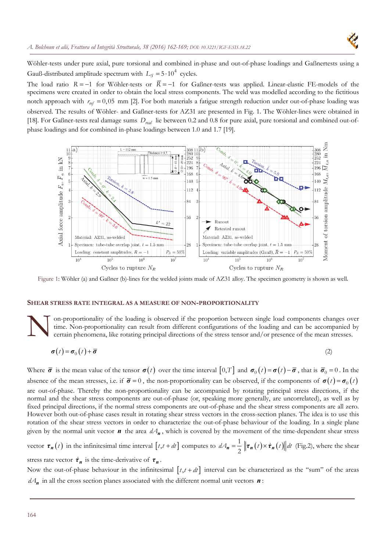Wöhler-tests under pure axial, pure torsional and combined in-phase and out-of-phase loadings and Gaßnertests using a Gauß-distributed amplitude spectrum with  $L<sub>S</sub> = 5 \cdot 10<sup>4</sup>$  cycles.

The load ratio  $R = -1$  for Wöhler-tests or  $\overline{R} = -1$  for Gaßner-tests was applied. Linear-elastic FE-models of the specimens were created in order to obtain the local stress components. The weld was modelled according to the fictitious notch approach with  $r_{ref} = 0.05$  mm [2]. For both materials a fatigue strength reduction under out-of-phase loading was observed. The results of Wöhler- and Gaßner-tests for AZ31 are presented in Fig. 1. The Wöhler-lines were obtained in [18]. For Gaßner-tests real damage sums  $D_{rad}$  lie between 0.2 and 0.8 for pure axial, pure torsional and combined out-ofphase loadings and for combined in-phase loadings between 1.0 and 1.7 [19].



Figure 1: Wöhler (a) and Gaßner (b)-lines for the welded joints made of AZ31 alloy. The specimen geometry is shown as well.

#### **SHEAR STRESS RATE INTEGRAL AS A MEASURE OF NON-PROPORTIONALITY**

on-proportionality of the loading is observed if the proportion between single load components changes over time. Non-proportionality can result from different configurations of the loading and can be accompanied by certain phenomena, like rotating principal directions of the stress tensor and/or presence of the mean stresses.  $\sum_{\text{ce}}^{\text{or}}$ 

$$
\boldsymbol{\sigma}(t) = \boldsymbol{\sigma}_0(t) + \boldsymbol{\overline{\sigma}} \tag{2}
$$

Where  $\bar{\sigma}$  is the mean value of the tensor  $\sigma(t)$  over the time interval  $[0,T]$  and  $\sigma_0(t) = \sigma(t) - \bar{\sigma}$ , that is  $\bar{\sigma}_0 = 0$ . In the absence of the mean stresses, i.e. if  $\bar{\sigma} = 0$ , the non-proportionality can be observed, if the components of  $\sigma(t) = \sigma_0(t)$ are out-of-phase. Thereby the non-proportionality can be accompanied by rotating principal stress directions, if the normal and the shear stress components are out-of-phase (or, speaking more generally, are uncorrelated), as well as by fixed principal directions, if the normal stress components are out-of-phase and the shear stress components are all zero. However both out-of-phase cases result in rotating shear stress vectors in the cross-section planes. The idea is to use this rotation of the shear stress vectors in order to characterize the out-of-phase behaviour of the loading. In a single plane given by the normal unit vector  $\bf{n}$  the area  $dA_{\bf{n}}$ , which is covered by the movement of the time-dependent shear stress

vector  $\boldsymbol{\tau}_n(t)$  in the infinitesimal time interval  $[t, t + dt]$  computes to  $dA_n = \frac{1}{2} || \boldsymbol{\tau}_n(t) \times \boldsymbol{\dot{\tau}}_n(t) || dt$  $\mathbf{r}_n = \frac{1}{2} \left\| \boldsymbol{\tau}_n(t) \times \dot{\boldsymbol{\tau}}_n(t) \right\| dt$  (Fig.2), where the shear

stress rate vector  $\dot{\tau}_n$  is the time-derivative of  $\tau_n$ .

Now the out-of-phase behaviour in the infinitesimal  $[t, t + dt]$  interval can be characterized as the "sum" of the areas  $dA_{\bf n}$  in all the cross section planes associated with the different normal unit vectors  ${\bf n}$ :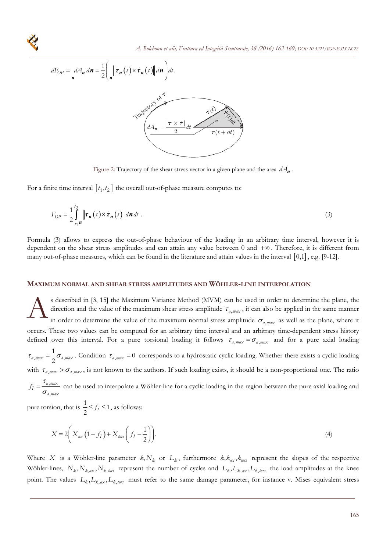

Figure 2: Trajectory of the shear stress vector in a given plane and the area  $dA_{\bf n}$ .

For a finite time interval  $[t_1, t_2]$  the overall out-of-phase measure computes to:

$$
F_{OP} = \frac{1}{2} \int_{t_1}^{t_2} \left\| \mathbf{r}_n(t) \times \dot{\mathbf{r}}_n(t) \right\| d\mathbf{n} dt
$$
 (3)

Formula (3) allows to express the out-of-phase behaviour of the loading in an arbitrary time interval, however it is dependent on the shear stress amplitudes and can attain any value between  $0$  and  $+\infty$ . Therefore, it is different from many out-of-phase measures, which can be found in the literature and attain values in the interval  $[0,1]$ , e.g. [9-12].

#### **MAXIMUM NORMAL AND SHEAR STRESS AMPLITUDES AND WÖHLER-LINE INTERPOLATION**

s described in [3, 15] the Maximum Variance Method (MVM) can be used in order to determine the plane, the direction and the value of the maximum shear stress amplitude  $\tau_{a, max}$ , it can also be applied in the same manner in order to determine the value of the maximum normal stress amplitude  $\sigma_{a,max}$  as well as the plane, where it occurs. These two values can be computed for an arbitrary time interval and an arbitrary time-dependent stress history defined over this interval. For a pure torsional loading it follows  $\tau_{a,max} = \sigma_{a,max}$  and for a pure axial loading  $a, max = \frac{1}{2} \mathbf{0} a, max$ 1  $\tau_{a, max} = \frac{1}{2} \sigma_{a, max}$ . Condition  $\tau_{a, max} = 0$  corresponds to a hydrostatic cyclic loading. Whether there exists a cyclic loading with  $\tau_{a,max} > \sigma_{a,max}$ , is not known to the authors. If such loading exists, it should be a non-proportional one. The ratio *a max I a max*  $f_I = \frac{v_a}{\cdot}$ ,  $=\frac{\tau_{a,max}}{\sigma_{a,max}}$  can be used to interpolate a Wöhler-line for a cyclic loading in the region between the pure axial loading and  $\mathbf{A}^{\text{\tiny{sq}}}_{\text{\tiny{in}}}$ 

pure torsion, that is  $\frac{1}{2} \le f_I \le 1$ 2  $\leq f_I \leq 1$ , as follows:

$$
X = 2\left(X_{ax}(1 - f_1) + X_{tors}\left(f_1 - \frac{1}{2}\right)\right).
$$
\n(4)

Where *X* is a Wöhler-line parameter  $k, N_k$  or  $L_k$ , furthermore  $k, k_{ax}, k_{box}$  represent the slopes of the respective Wöhler-lines,  $N_k$ ,  $N_{k,ax}$ ,  $N_{k,tors}$  represent the number of cycles and  $L_k$ ,  $L_{k,ax}$ ,  $L_{k,tors}$  the load amplitudes at the knee point. The values  $L_k, L_{k,qx}, L_{k,qy}$  must refer to the same damage parameter, for instance v. Mises equivalent stress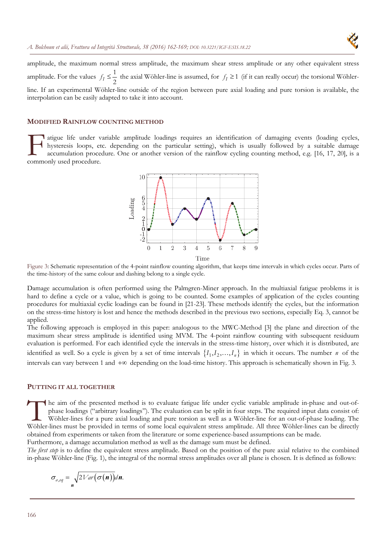

amplitude, the maximum normal stress amplitude, the maximum shear stress amplitude or any other equivalent stress amplitude. For the values  $f_I \leq \frac{1}{2}$  the axial Wöhler-line is assumed, for  $f_I \geq 1$  (if it can really occur) the torsional Wöhlerline. If an experimental Wöhler-line outside of the region between pure axial loading and pure torsion is available, the interpolation can be easily adapted to take it into account.

## **MODIFIED RAINFLOW COUNTING METHOD**

latigue life under variable amplitude loadings requires an identification of damaging events (loading cycles, hysteresis loops, etc. depending on the particular setting), which is usually followed by a suitable damage accumulation procedure. One or another version of the rainflow cycling counting method, e.g. [16, 17, 20], is a atigue life under v<br>hysteresis loops, et<br>accumulation procedure.



Figure 3: Schematic representation of the 4-point rainflow counting algorithm, that keeps time intervals in which cycles occur. Parts of the time-history of the same colour and dashing belong to a single cycle.

Damage accumulation is often performed using the Palmgren-Miner approach. In the multiaxial fatigue problems it is hard to define a cycle or a value, which is going to be counted. Some examples of application of the cycles counting procedures for multiaxial cyclic loadings can be found in [21-23]. These methods identify the cycles, but the information on the stress-time history is lost and hence the methods described in the previous two sections, especially Eq. 3, cannot be applied.

The following approach is employed in this paper: analogous to the MWC-Method [3] the plane and direction of the maximum shear stress amplitude is identified using MVM. The 4-point rainflow counting with subsequent residuum evaluation is performed. For each identified cycle the intervals in the stress-time history, over which it is distributed, are identified as well. So a cycle is given by a set of time intervals  $\{I_1, I_2, ..., I_n\}$  in which it occurs. The number *n* of the intervals can vary between 1 and  $+\infty$  depending on the load-time history. This approach is schematically shown in Fig. 3.

#### **PUTTING IT ALL TOGETHER**

he aim of the presented method is to evaluate fatigue life under cyclic variable amplitude in-phase and out-ofphase loadings ("arbitrary loadings"). The evaluation can be split in four steps. The required input data consist of: Wöhler-lines for a pure axial loading and pure torsion as well as a Wöhler-line for an out-of-phase loading. The The aim of the presented method is to evaluate fatigue life under cyclic variable amplitude in-phase and out-of-<br>phase loadings ("arbitrary loadings"). The evaluation can be split in four steps. The required input data con obtained from experiments or taken from the literature or some experience-based assumptions can be made. Furthermore, a damage accumulation method as well as the damage sum must be defined.

*The first step* is to define the equivalent stress amplitude. Based on the position of the pure axial relative to the combined in-phase Wöhler-line (Fig. 1), the integral of the normal stress amplitudes over all plane is chosen. It is defined as follows:

$$
\sigma_{a,eq} = \sqrt{2Var(\sigma(n))}dn.
$$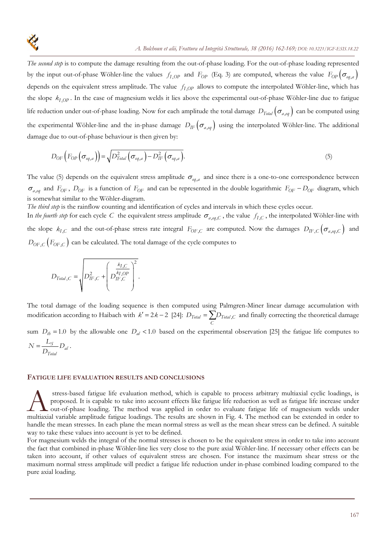

*The second step* is to compute the damage resulting from the out-of-phase loading. For the out-of-phase loading represented by the input out-of-phase Wöhler-line the values  $f_{I,OP}$  and  $F_{OP}$  (Eq. 3) are computed, whereas the value  $F_{OP}(\sigma_{eq,a})$ depends on the equivalent stress amplitude. The value  $f_{I,OP}$  allows to compute the interpolated Wöhler-line, which has the slope  $k_{I,OP}$ . In the case of magnesium welds it lies above the experimental out-of-phase Wöhler-line due to fatigue life reduction under out-of-phase loading. Now for each amplitude the total damage  $D_{Total}(\sigma_{a,eq})$  can be computed using the experimental Wöhler-line and the in-phase damage  $D_{IF}(\sigma_{a,eq})$  using the interpolated Wöhler-line. The additional damage due to out-of-phase behaviour is then given by:

$$
D_{OF}\left(F_{OP}\left(\sigma_{eq,a}\right)\right)=\sqrt{D_{Total}^{2}\left(\sigma_{eq,a}\right)-D_{IF}^{2}\left(\sigma_{eq,a}\right)}.\tag{5}
$$

The value (5) depends on the equivalent stress amplitude  $\sigma_{eq,a}$  and since there is a one-to-one correspondence between  $\sigma_{a,eq}$  and  $F_{OF}$ ,  $D_{OF}$  is a function of  $F_{OF}$  and can be represented in the double logarithmic  $F_{OF} - D_{OF}$  diagram, which is somewhat similar to the Wöhler-diagram.

*The third step* is the rainflow counting and identification of cycles and intervals in which these cycles occur.

In *the fourth step* for each cycle *C* the equivalent stress amplitude  $\sigma_{a,eq,C}$ , the value  $f_{I,C}$ , the interpolated Wöhler-line with the slope  $k_{I,C}$  and the out-of-phase stress rate integral  $F_{OF,C}$  are computed. Now the damages  $D_{IF,C}(\sigma_{a,eq,C})$  and  $D_{\text{OF},\text{C}}\left(F_{\text{OF},\text{C}}\right)$  can be calculated. The total damage of the cycle computes to

$$
D_{Total,C} = \sqrt{D_{IF,C}^2 + \left(D_{IF,C}^{\overline{k_{I,C}}}\right)^2}.
$$

*Total*

The total damage of the loading sequence is then computed using Palmgren-Miner linear damage accumulation with modification according to Haibach with  $k' = 2k - 2$  [24]:  $D_{Total} = \sum D_{Total,C}$ *C*  $D_{\text{Total}} = \sum D_{\text{Total},C}$  and finally correcting the theoretical damage

sum  $D_{tb} = 1.0$  by the allowable one  $D_{al} < 1.0$  based on the experimental observation [25] the fatigue life computes to  $\frac{S}{a}$  *D*<sub>*al*</sub>  $N = \frac{L_S}{D_{Total}} D_{al}$ .

**FATIGUE LIFE EVALUATION RESULTS AND CONCLUSIONS**

 stress-based fatigue life evaluation method, which is capable to process arbitrary multiaxial cyclic loadings, is proposed. It is capable to take into account effects like fatigue life reduction as well as fatigue life increase under out-of-phase loading. The method was applied in order to evaluate fatigue life of magnesium welds under stress-based fatigue life evaluation method, which is capable to process arbitrary multiaxial cyclic loadings, is<br>proposed. It is capable to take into account effects like fatigue life reduction as well as fatigue life inc handle the mean stresses. In each plane the mean normal stress as well as the mean shear stress can be defined. A suitable way to take these values into account is yet to be defined.

For magnesium welds the integral of the normal stresses is chosen to be the equivalent stress in order to take into account the fact that combined in-phase Wöhler-line lies very close to the pure axial Wöhler-line. If necessary other effects can be taken into account, if other values of equivalent stress are chosen. For instance the maximum shear stress or the maximum normal stress amplitude will predict a fatigue life reduction under in-phase combined loading compared to the pure axial loading.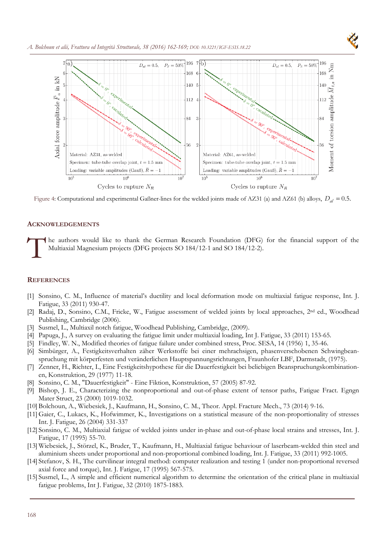

Figure 4: Computational and experimental Gaßner-lines for the welded joints made of AZ31 (a) and AZ61 (b) alloys,  $D_{nl} = 0.5$ .

## **ACKNOWLEDGEMENTS**

he authors would like to thank the German Research Foundation (DFG) for the financial support of the Multiaxial Magnesium projects (DFG projects SO 184/12-1 and SO 184/12-2).  $\int_{M}$ 

## **REFERENCES**

- [1] Sonsino, C. M., Influence of material's ductility and local deformation mode on multiaxial fatigue response, Int. J. Fatigue, 33 (2011) 930-47.
- [2] Radaj, D., Sonsino, C.M., Fricke, W., Fatigue assessment of welded joints by local approaches, 2nd ed., Woodhead Publishing, Cambridge (2006).
- [3] Susmel, L., Multiaxil notch fatigue, Woodhead Publishing, Cambridge, (2009).
- [4] Papuga, J., A survey on evaluating the fatigue limit under multiaxial loading, Int J. Fatigue, 33 (2011) 153-65.
- [5] Findley, W. N., Modified theories of fatigue failure under combined stress, Proc. SESA, 14 (1956) 1, 35-46.
- [6] Simbürger, A., Festigkeitsverhalten zäher Werkstoffe bei einer mehrachsigen, phasenverschobenen Schwingbeanspruchung mit körperfesten und veränderlichen Hauptspannungsrichtungen, Fraunhofer LBF, Darmstadt, (1975).
- [7] Zenner, H., Richter, I., Eine Festigkeitshypothese für die Dauerfestigkeit bei beliebigen Beanspruchungskombinationen, Konstruktion, 29 (1977) 11-18.
- [8] Sonsino, C. M., "Dauerfestigkeit" Eine Fiktion, Konstruktion, 57 (2005) 87-92.
- [9] Bishop, J. E., Characterizing the nonproportional and out-of-phase extent of tensor paths, Fatigue Fract. Egngn Mater Struct, 23 (2000) 1019-1032.
- [10] Bolchoun, A., Wiebesiek, J., Kaufmann, H., Sonsino, C. M., Theor. Appl. Fracture Mech., 73 (2014) 9-16.
- [11] Gaier, C., Lukacs, K., Hofwimmer, K., Investigations on a statistical measure of the non-proportionality of stresses Int. J. Fatigue, 26 (2004) 331-337
- [12] Sonsino, C. M., Multiaxial fatigue of welded joints under in-phase and out-of-phase local strains and stresses, Int. J. Fatigue, 17 (1995) 55-70.
- [13] Wiebesiek, J., Störzel, K., Bruder, T., Kaufmann, H., Multiaxial fatigue behaviour of laserbeam-welded thin steel and aluminium sheets under proportional and non-proportional combined loading, Int. J. Fatigue, 33 (2011) 992-1005.
- [14] Stefanov, S. H., The curvilinear integral method: computer realization and testing 1 (under non-proportional reversed axial force and torque), Int. J. Fatigue, 17 (1995) 567-575.
- [15] Susmel, L., A simple and efficient numerical algorithm to determine the orientation of the critical plane in multiaxial fatigue problems, Int J. Fatigue, 32 (2010) 1875-1883.